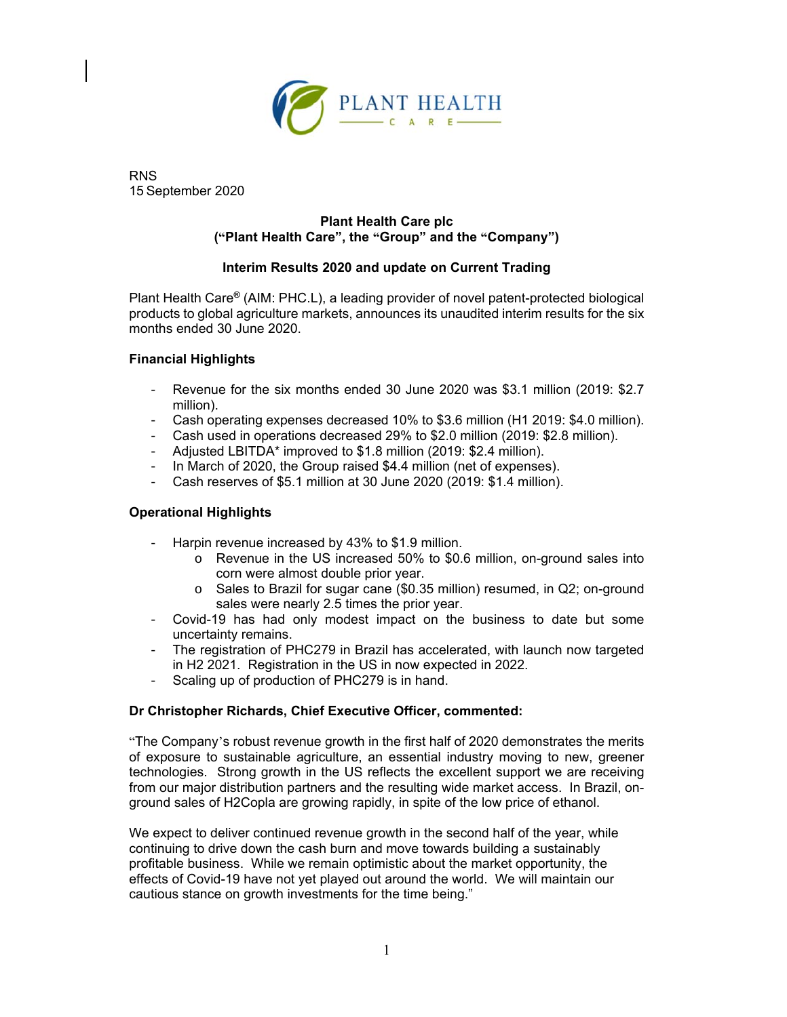

RNS 15 September 2020

# **Plant Health Care plc ("Plant Health Care", the "Group" and the "Company")**

# **Interim Results 2020 and update on Current Trading**

Plant Health Care**®** (AIM: PHC.L), a leading provider of novel patent-protected biological products to global agriculture markets, announces its unaudited interim results for the six months ended 30 June 2020.

# **Financial Highlights**

- Revenue for the six months ended 30 June 2020 was \$3.1 million (2019: \$2.7 million).
- Cash operating expenses decreased 10% to \$3.6 million (H1 2019: \$4.0 million).
- Cash used in operations decreased 29% to \$2.0 million (2019: \$2.8 million).
- Adjusted LBITDA\* improved to \$1.8 million (2019: \$2.4 million).
- In March of 2020, the Group raised \$4.4 million (net of expenses).
- Cash reserves of \$5.1 million at 30 June 2020 (2019: \$1.4 million).

# **Operational Highlights**

- Harpin revenue increased by 43% to \$1.9 million.
	- o Revenue in the US increased 50% to \$0.6 million, on-ground sales into corn were almost double prior year.
	- o Sales to Brazil for sugar cane (\$0.35 million) resumed, in Q2; on-ground sales were nearly 2.5 times the prior year.
- Covid-19 has had only modest impact on the business to date but some uncertainty remains.
- The registration of PHC279 in Brazil has accelerated, with launch now targeted in H2 2021. Registration in the US in now expected in 2022.
- Scaling up of production of PHC279 is in hand.

## **Dr Christopher Richards, Chief Executive Officer, commented:**

"The Company's robust revenue growth in the first half of 2020 demonstrates the merits of exposure to sustainable agriculture, an essential industry moving to new, greener technologies. Strong growth in the US reflects the excellent support we are receiving from our major distribution partners and the resulting wide market access. In Brazil, onground sales of H2Copla are growing rapidly, in spite of the low price of ethanol.

We expect to deliver continued revenue growth in the second half of the year, while continuing to drive down the cash burn and move towards building a sustainably profitable business. While we remain optimistic about the market opportunity, the effects of Covid-19 have not yet played out around the world. We will maintain our cautious stance on growth investments for the time being."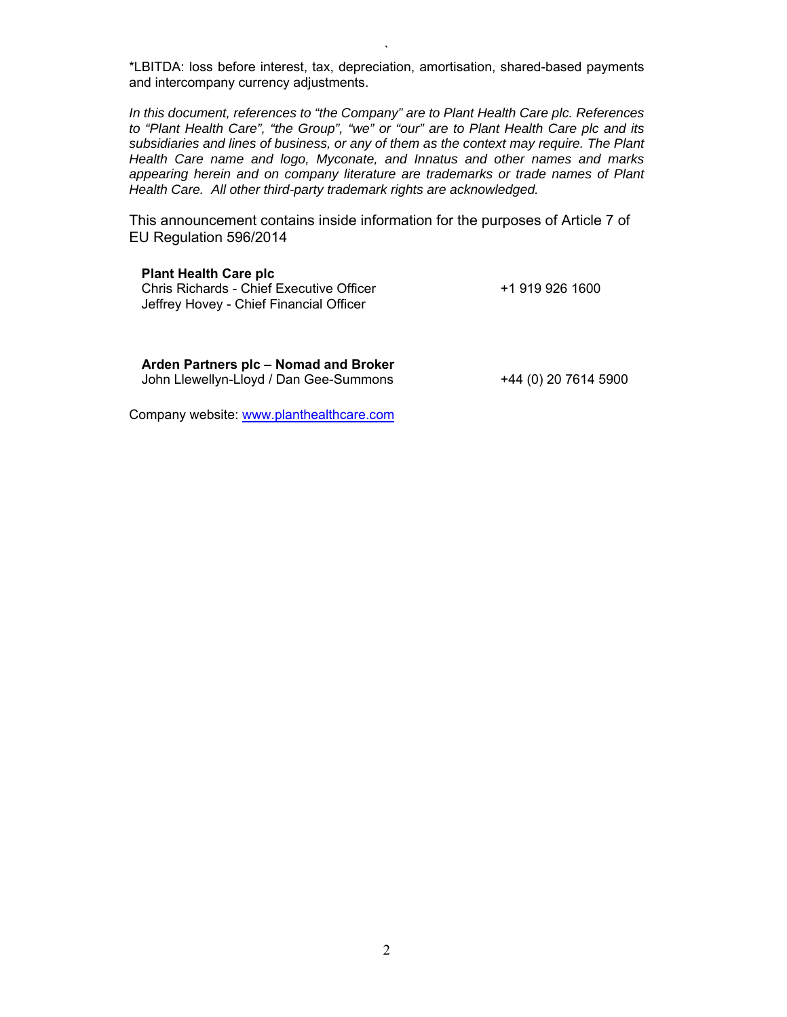` \*LBITDA: loss before interest, tax, depreciation, amortisation, shared-based payments and intercompany currency adjustments.

*In this document, references to "the Company" are to Plant Health Care plc. References to "Plant Health Care", "the Group", "we" or "our" are to Plant Health Care plc and its subsidiaries and lines of business, or any of them as the context may require. The Plant Health Care name and logo, Myconate, and Innatus and other names and marks appearing herein and on company literature are trademarks or trade names of Plant Health Care. All other third-party trademark rights are acknowledged.*

This announcement contains inside information for the purposes of Article 7 of EU Regulation 596/2014

**Plant Health Care plc**  Chris Richards - Chief Executive Officer Jeffrey Hovey - Chief Financial Officer

+1 919 926 1600

**Arden Partners plc – Nomad and Broker** John Llewellyn-Lloyd / Dan Gee-Summons +44 (0) 20 7614 5900

Company website: www.planthealthcare.com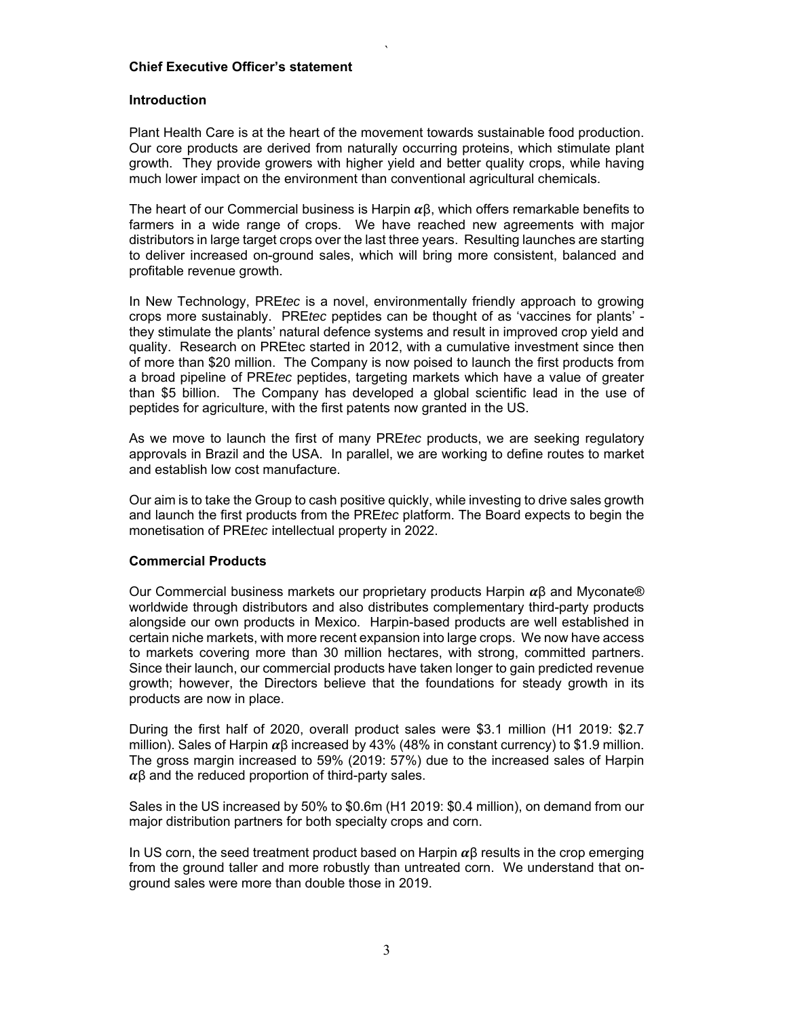## **Chief Executive Officer's statement**

## **Introduction**

Plant Health Care is at the heart of the movement towards sustainable food production. Our core products are derived from naturally occurring proteins, which stimulate plant growth. They provide growers with higher yield and better quality crops, while having much lower impact on the environment than conventional agricultural chemicals.

`

The heart of our Commercial business is Harpin  $\alpha\beta$ , which offers remarkable benefits to farmers in a wide range of crops. We have reached new agreements with major distributors in large target crops over the last three years. Resulting launches are starting to deliver increased on-ground sales, which will bring more consistent, balanced and profitable revenue growth.

In New Technology, PRE*tec* is a novel, environmentally friendly approach to growing crops more sustainably. PRE*tec* peptides can be thought of as 'vaccines for plants' they stimulate the plants' natural defence systems and result in improved crop yield and quality. Research on PREtec started in 2012, with a cumulative investment since then of more than \$20 million. The Company is now poised to launch the first products from a broad pipeline of PRE*tec* peptides, targeting markets which have a value of greater than \$5 billion. The Company has developed a global scientific lead in the use of peptides for agriculture, with the first patents now granted in the US.

As we move to launch the first of many PRE*tec* products, we are seeking regulatory approvals in Brazil and the USA. In parallel, we are working to define routes to market and establish low cost manufacture.

Our aim is to take the Group to cash positive quickly, while investing to drive sales growth and launch the first products from the PRE*tec* platform. The Board expects to begin the monetisation of PRE*tec* intellectual property in 2022.

## **Commercial Products**

Our Commercial business markets our proprietary products Harpin  $\alpha$ β and Myconate® worldwide through distributors and also distributes complementary third-party products alongside our own products in Mexico. Harpin-based products are well established in certain niche markets, with more recent expansion into large crops. We now have access to markets covering more than 30 million hectares, with strong, committed partners. Since their launch, our commercial products have taken longer to gain predicted revenue growth; however, the Directors believe that the foundations for steady growth in its products are now in place.

During the first half of 2020, overall product sales were \$3.1 million (H1 2019: \$2.7 million). Sales of Harpin  $\alpha\beta$  increased by 43% (48% in constant currency) to \$1.9 million. The gross margin increased to 59% (2019: 57%) due to the increased sales of Harpin  $\alpha\beta$  and the reduced proportion of third-party sales.

Sales in the US increased by 50% to \$0.6m (H1 2019: \$0.4 million), on demand from our major distribution partners for both specialty crops and corn.

In US corn, the seed treatment product based on Harpin  $\alpha\beta$  results in the crop emerging from the ground taller and more robustly than untreated corn. We understand that onground sales were more than double those in 2019.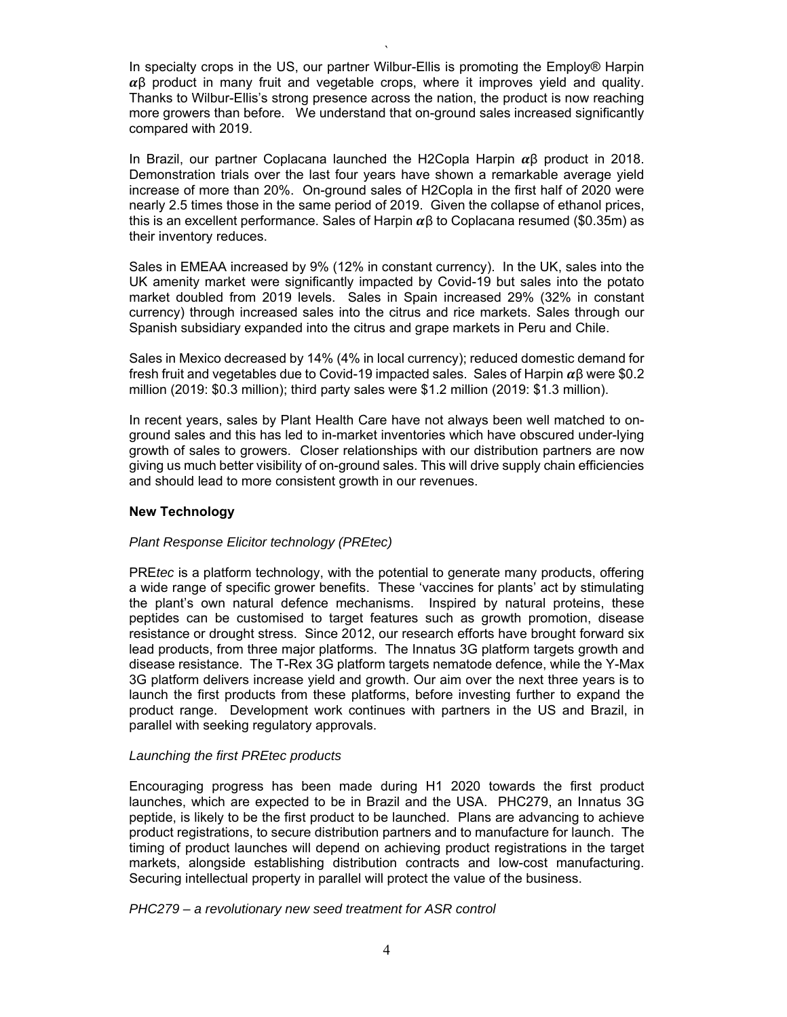In specialty crops in the US, our partner Wilbur-Ellis is promoting the Employ® Harpin  $\alpha$ β product in many fruit and vegetable crops, where it improves yield and quality. Thanks to Wilbur-Ellis's strong presence across the nation, the product is now reaching more growers than before. We understand that on-ground sales increased significantly compared with 2019.

`

In Brazil, our partner Coplacana launched the H2Copla Harpin  $\alpha\beta$  product in 2018. Demonstration trials over the last four years have shown a remarkable average yield increase of more than 20%. On-ground sales of H2Copla in the first half of 2020 were nearly 2.5 times those in the same period of 2019. Given the collapse of ethanol prices, this is an excellent performance. Sales of Harpin  $\alpha$  to Coplacana resumed (\$0.35m) as their inventory reduces.

Sales in EMEAA increased by 9% (12% in constant currency). In the UK, sales into the UK amenity market were significantly impacted by Covid-19 but sales into the potato market doubled from 2019 levels. Sales in Spain increased 29% (32% in constant currency) through increased sales into the citrus and rice markets. Sales through our Spanish subsidiary expanded into the citrus and grape markets in Peru and Chile.

Sales in Mexico decreased by 14% (4% in local currency); reduced domestic demand for fresh fruit and vegetables due to Covid-19 impacted sales. Sales of Harpin  $\alpha\beta$  were \$0.2 million (2019: \$0.3 million); third party sales were \$1.2 million (2019: \$1.3 million).

In recent years, sales by Plant Health Care have not always been well matched to onground sales and this has led to in-market inventories which have obscured under-lying growth of sales to growers. Closer relationships with our distribution partners are now giving us much better visibility of on-ground sales. This will drive supply chain efficiencies and should lead to more consistent growth in our revenues.

## **New Technology**

## *Plant Response Elicitor technology (PREtec)*

PRE*tec* is a platform technology, with the potential to generate many products, offering a wide range of specific grower benefits. These 'vaccines for plants' act by stimulating the plant's own natural defence mechanisms. Inspired by natural proteins, these peptides can be customised to target features such as growth promotion, disease resistance or drought stress. Since 2012, our research efforts have brought forward six lead products, from three major platforms. The Innatus 3G platform targets growth and disease resistance. The T-Rex 3G platform targets nematode defence, while the Y-Max 3G platform delivers increase yield and growth. Our aim over the next three years is to launch the first products from these platforms, before investing further to expand the product range. Development work continues with partners in the US and Brazil, in parallel with seeking regulatory approvals.

## *Launching the first PREtec products*

Encouraging progress has been made during H1 2020 towards the first product launches, which are expected to be in Brazil and the USA. PHC279, an Innatus 3G peptide, is likely to be the first product to be launched. Plans are advancing to achieve product registrations, to secure distribution partners and to manufacture for launch. The timing of product launches will depend on achieving product registrations in the target markets, alongside establishing distribution contracts and low-cost manufacturing. Securing intellectual property in parallel will protect the value of the business.

*PHC279 – a revolutionary new seed treatment for ASR control*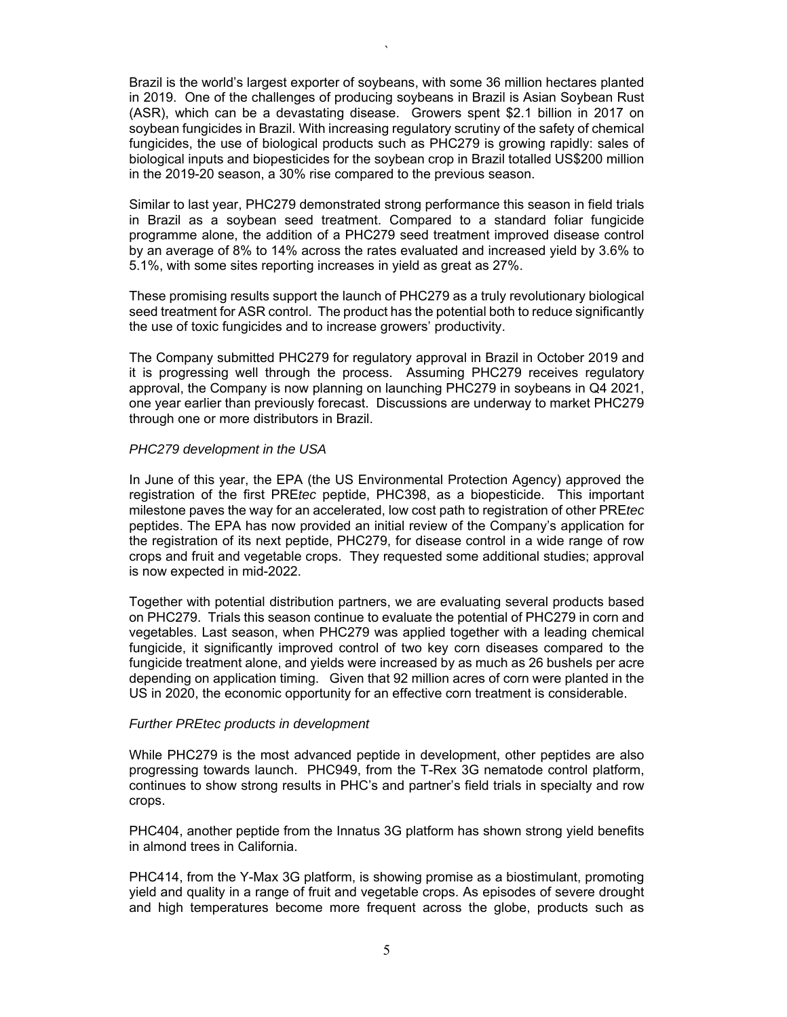Brazil is the world's largest exporter of soybeans, with some 36 million hectares planted in 2019. One of the challenges of producing soybeans in Brazil is Asian Soybean Rust (ASR), which can be a devastating disease. Growers spent \$2.1 billion in 2017 on soybean fungicides in Brazil. With increasing regulatory scrutiny of the safety of chemical fungicides, the use of biological products such as PHC279 is growing rapidly: sales of biological inputs and biopesticides for the soybean crop in Brazil totalled US\$200 million in the 2019-20 season, a 30% rise compared to the previous season.

`

Similar to last year, PHC279 demonstrated strong performance this season in field trials in Brazil as a soybean seed treatment. Compared to a standard foliar fungicide programme alone, the addition of a PHC279 seed treatment improved disease control by an average of 8% to 14% across the rates evaluated and increased yield by 3.6% to 5.1%, with some sites reporting increases in yield as great as 27%.

These promising results support the launch of PHC279 as a truly revolutionary biological seed treatment for ASR control. The product has the potential both to reduce significantly the use of toxic fungicides and to increase growers' productivity.

The Company submitted PHC279 for regulatory approval in Brazil in October 2019 and it is progressing well through the process. Assuming PHC279 receives regulatory approval, the Company is now planning on launching PHC279 in soybeans in Q4 2021, one year earlier than previously forecast. Discussions are underway to market PHC279 through one or more distributors in Brazil.

#### *PHC279 development in the USA*

In June of this year, the EPA (the US Environmental Protection Agency) approved the registration of the first PRE*tec* peptide, PHC398, as a biopesticide. This important milestone paves the way for an accelerated, low cost path to registration of other PRE*tec* peptides. The EPA has now provided an initial review of the Company's application for the registration of its next peptide, PHC279, for disease control in a wide range of row crops and fruit and vegetable crops. They requested some additional studies; approval is now expected in mid-2022.

Together with potential distribution partners, we are evaluating several products based on PHC279. Trials this season continue to evaluate the potential of PHC279 in corn and vegetables. Last season, when PHC279 was applied together with a leading chemical fungicide, it significantly improved control of two key corn diseases compared to the fungicide treatment alone, and yields were increased by as much as 26 bushels per acre depending on application timing. Given that 92 million acres of corn were planted in the US in 2020, the economic opportunity for an effective corn treatment is considerable.

#### *Further PREtec products in development*

While PHC279 is the most advanced peptide in development, other peptides are also progressing towards launch. PHC949, from the T-Rex 3G nematode control platform, continues to show strong results in PHC's and partner's field trials in specialty and row crops.

PHC404, another peptide from the Innatus 3G platform has shown strong yield benefits in almond trees in California.

PHC414, from the Y-Max 3G platform, is showing promise as a biostimulant, promoting yield and quality in a range of fruit and vegetable crops. As episodes of severe drought and high temperatures become more frequent across the globe, products such as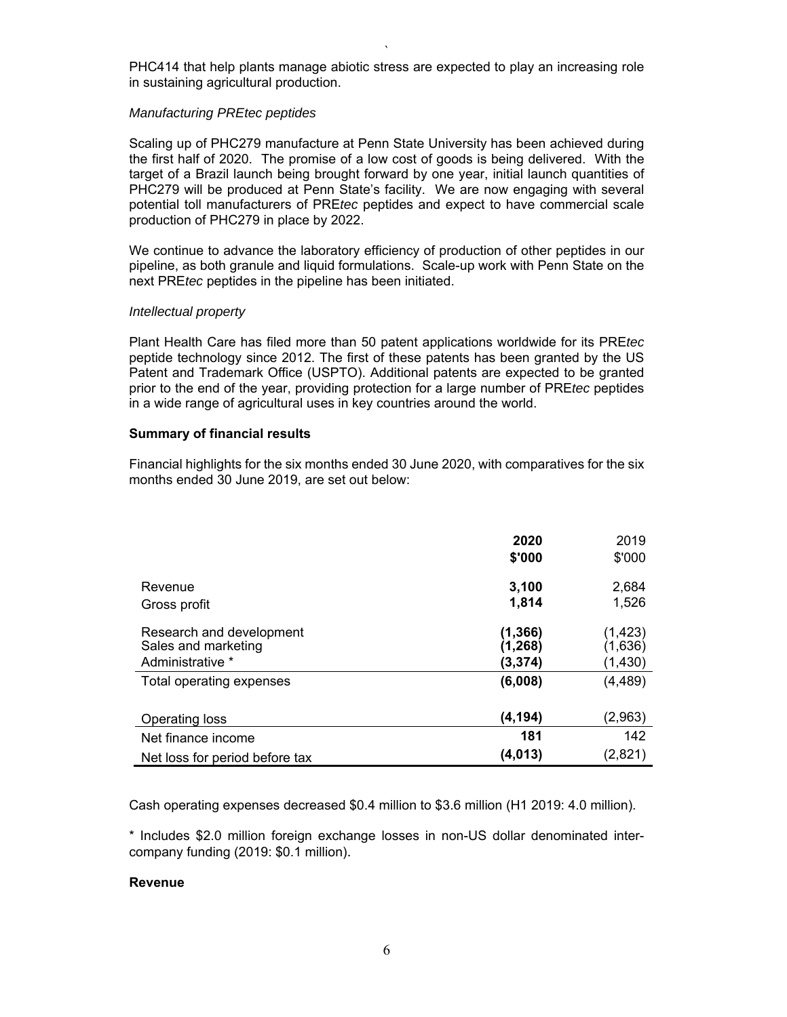` PHC414 that help plants manage abiotic stress are expected to play an increasing role in sustaining agricultural production.

## *Manufacturing PREtec peptides*

Scaling up of PHC279 manufacture at Penn State University has been achieved during the first half of 2020. The promise of a low cost of goods is being delivered. With the target of a Brazil launch being brought forward by one year, initial launch quantities of PHC279 will be produced at Penn State's facility. We are now engaging with several potential toll manufacturers of PRE*tec* peptides and expect to have commercial scale production of PHC279 in place by 2022.

We continue to advance the laboratory efficiency of production of other peptides in our pipeline, as both granule and liquid formulations. Scale-up work with Penn State on the next PRE*tec* peptides in the pipeline has been initiated.

## *Intellectual property*

Plant Health Care has filed more than 50 patent applications worldwide for its PRE*tec* peptide technology since 2012. The first of these patents has been granted by the US Patent and Trademark Office (USPTO). Additional patents are expected to be granted prior to the end of the year, providing protection for a large number of PRE*tec* peptides in a wide range of agricultural uses in key countries around the world.

## **Summary of financial results**

Financial highlights for the six months ended 30 June 2020, with comparatives for the six months ended 30 June 2019, are set out below:

|                                | 2020<br>\$'000 | 2019<br>\$'000 |
|--------------------------------|----------------|----------------|
| Revenue                        | 3,100          | 2,684          |
| Gross profit                   | 1,814          | 1,526          |
| Research and development       | (1, 366)       | (1, 423)       |
| Sales and marketing            | (1, 268)       | (1,636)        |
| Administrative *               | (3, 374)       | (1, 430)       |
| Total operating expenses       | (6,008)        | (4, 489)       |
| Operating loss                 | (4, 194)       | (2,963)        |
| Net finance income             | 181            | 142            |
| Net loss for period before tax | (4, 013)       | (2,821)        |

Cash operating expenses decreased \$0.4 million to \$3.6 million (H1 2019: 4.0 million).

\* Includes \$2.0 million foreign exchange losses in non-US dollar denominated intercompany funding (2019: \$0.1 million).

## **Revenue**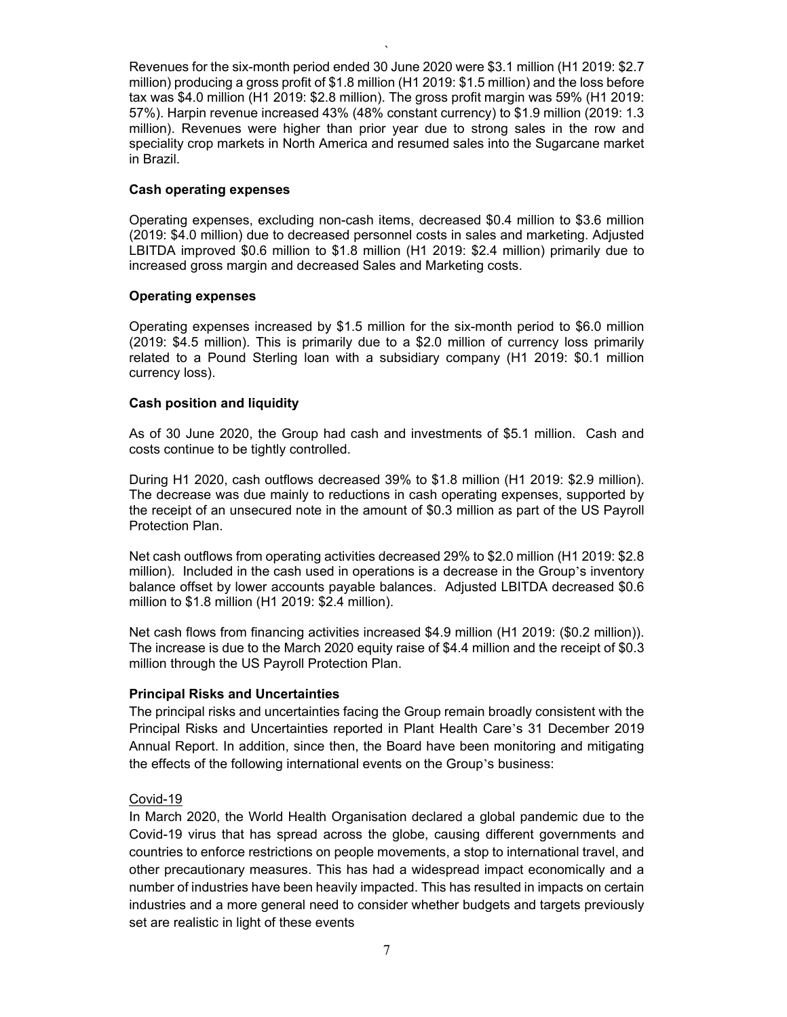Revenues for the six-month period ended 30 June 2020 were \$3.1 million (H1 2019: \$2.7 million) producing a gross profit of \$1.8 million (H1 2019: \$1.5 million) and the loss before tax was \$4.0 million (H1 2019: \$2.8 million). The gross profit margin was 59% (H1 2019: 57%). Harpin revenue increased 43% (48% constant currency) to \$1.9 million (2019: 1.3 million). Revenues were higher than prior year due to strong sales in the row and speciality crop markets in North America and resumed sales into the Sugarcane market in Brazil.

`

## **Cash operating expenses**

Operating expenses, excluding non-cash items, decreased \$0.4 million to \$3.6 million (2019: \$4.0 million) due to decreased personnel costs in sales and marketing. Adjusted LBITDA improved \$0.6 million to \$1.8 million (H1 2019: \$2.4 million) primarily due to increased gross margin and decreased Sales and Marketing costs.

## **Operating expenses**

Operating expenses increased by \$1.5 million for the six-month period to \$6.0 million (2019: \$4.5 million). This is primarily due to a \$2.0 million of currency loss primarily related to a Pound Sterling loan with a subsidiary company (H1 2019: \$0.1 million currency loss).

## **Cash position and liquidity**

As of 30 June 2020, the Group had cash and investments of \$5.1 million. Cash and costs continue to be tightly controlled.

During H1 2020, cash outflows decreased 39% to \$1.8 million (H1 2019: \$2.9 million). The decrease was due mainly to reductions in cash operating expenses, supported by the receipt of an unsecured note in the amount of \$0.3 million as part of the US Payroll Protection Plan.

Net cash outflows from operating activities decreased 29% to \$2.0 million (H1 2019: \$2.8 million). Included in the cash used in operations is a decrease in the Group's inventory balance offset by lower accounts payable balances. Adjusted LBITDA decreased \$0.6 million to \$1.8 million (H1 2019: \$2.4 million).

Net cash flows from financing activities increased \$4.9 million (H1 2019: (\$0.2 million)). The increase is due to the March 2020 equity raise of \$4.4 million and the receipt of \$0.3 million through the US Payroll Protection Plan.

## **Principal Risks and Uncertainties**

The principal risks and uncertainties facing the Group remain broadly consistent with the Principal Risks and Uncertainties reported in Plant Health Care's 31 December 2019 Annual Report. In addition, since then, the Board have been monitoring and mitigating the effects of the following international events on the Group's business:

## Covid-19

In March 2020, the World Health Organisation declared a global pandemic due to the Covid-19 virus that has spread across the globe, causing different governments and countries to enforce restrictions on people movements, a stop to international travel, and other precautionary measures. This has had a widespread impact economically and a number of industries have been heavily impacted. This has resulted in impacts on certain industries and a more general need to consider whether budgets and targets previously set are realistic in light of these events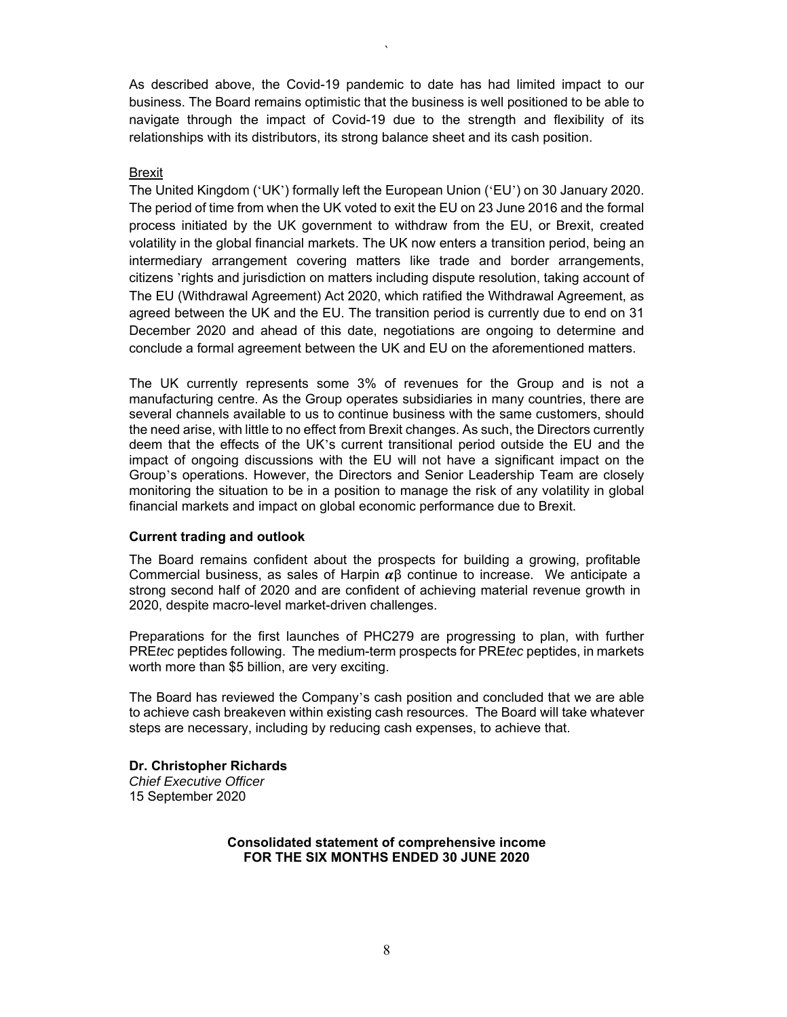As described above, the Covid-19 pandemic to date has had limited impact to our business. The Board remains optimistic that the business is well positioned to be able to navigate through the impact of Covid-19 due to the strength and flexibility of its relationships with its distributors, its strong balance sheet and its cash position.

`

#### Brexit

The United Kingdom ( 'UK') formally left the European Union ('EU') on 30 January 2020. The period of time from when the UK voted to exit the EU on 23 June 2016 and the formal process initiated by the UK government to withdraw from the EU, or Brexit, created volatility in the global financial markets. The UK now enters a transition period, being an intermediary arrangement covering matters like trade and border arrangements, citizens 'rights and jurisdiction on matters including dispute resolution, taking account of The EU (Withdrawal Agreement) Act 2020, which ratified the Withdrawal Agreement, as agreed between the UK and the EU. The transition period is currently due to end on 31 December 2020 and ahead of this date, negotiations are ongoing to determine and conclude a formal agreement between the UK and EU on the aforementioned matters.

The UK currently represents some 3% of revenues for the Group and is not a manufacturing centre. As the Group operates subsidiaries in many countries, there are several channels available to us to continue business with the same customers, should the need arise, with little to no effect from Brexit changes. As such, the Directors currently deem that the effects of the UK's current transitional period outside the EU and the impact of ongoing discussions with the EU will not have a significant impact on the Group's operations. However, the Directors and Senior Leadership Team are closely monitoring the situation to be in a position to manage the risk of any volatility in global financial markets and impact on global economic performance due to Brexit.

## **Current trading and outlook**

The Board remains confident about the prospects for building a growing, profitable Commercial business, as sales of Harpin  $\alpha\beta$  continue to increase. We anticipate a strong second half of 2020 and are confident of achieving material revenue growth in 2020, despite macro-level market-driven challenges.

Preparations for the first launches of PHC279 are progressing to plan, with further PRE*tec* peptides following. The medium-term prospects for PRE*tec* peptides, in markets worth more than \$5 billion, are very exciting.

The Board has reviewed the Company's cash position and concluded that we are able to achieve cash breakeven within existing cash resources. The Board will take whatever steps are necessary, including by reducing cash expenses, to achieve that.

**Dr. Christopher Richards**  *Chief Executive Officer*  15 September 2020

#### **Consolidated statement of comprehensive income FOR THE SIX MONTHS ENDED 30 JUNE 2020**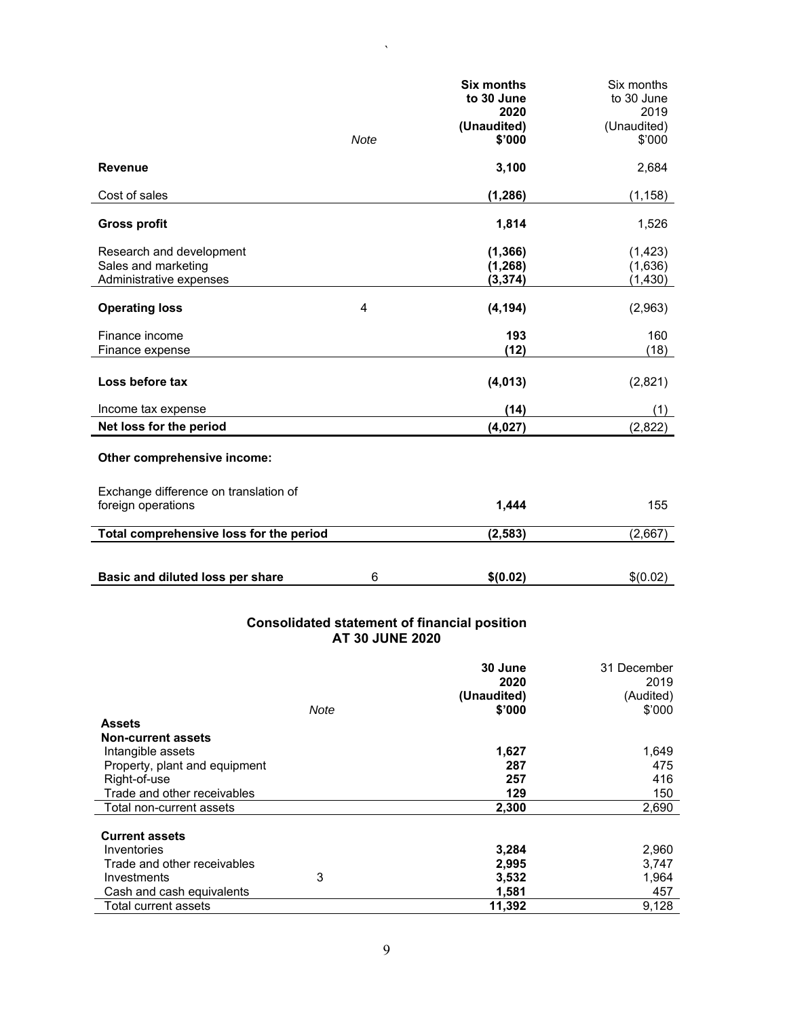|                                         |             | <b>Six months</b> | Six months  |
|-----------------------------------------|-------------|-------------------|-------------|
|                                         |             | to 30 June        | to 30 June  |
|                                         |             | 2020              | 2019        |
|                                         |             | (Unaudited)       | (Unaudited) |
|                                         | <b>Note</b> | \$'000            | \$'000      |
| <b>Revenue</b>                          |             | 3,100             | 2,684       |
| Cost of sales                           |             | (1, 286)          | (1, 158)    |
| <b>Gross profit</b>                     |             | 1,814             | 1,526       |
| Research and development                |             | (1, 366)          | (1, 423)    |
| Sales and marketing                     |             | (1, 268)          | (1,636)     |
| Administrative expenses                 |             | (3, 374)          | (1, 430)    |
| <b>Operating loss</b>                   | 4           | (4, 194)          | (2,963)     |
| Finance income                          |             | 193               | 160         |
| Finance expense                         |             | (12)              | (18)        |
| Loss before tax                         |             | (4,013)           | (2,821)     |
| Income tax expense                      |             | (14)              | (1)         |
| Net loss for the period                 |             | (4,027)           | (2,822)     |
| Other comprehensive income:             |             |                   |             |
| Exchange difference on translation of   |             |                   |             |
| foreign operations                      |             | 1,444             | 155         |
| Total comprehensive loss for the period |             | (2, 583)          | (2,667)     |
|                                         |             |                   |             |
| Basic and diluted loss per share        | 6           | \$(0.02)          | \$(0.02)    |

 $\ddot{\phantom{a}}$ 

## **Consolidated statement of financial position AT 30 JUNE 2020**

|                               | 30 June<br>2020 | 31 December<br>2019 |
|-------------------------------|-----------------|---------------------|
|                               | (Unaudited)     | (Audited)           |
| Note                          | \$'000          | \$'000              |
| <b>Assets</b>                 |                 |                     |
| <b>Non-current assets</b>     |                 |                     |
| Intangible assets             | 1,627           | 1,649               |
| Property, plant and equipment | 287             | 475                 |
| Right-of-use                  | 257             | 416                 |
| Trade and other receivables   | 129             | 150                 |
| Total non-current assets      | 2,300           | 2,690               |
| <b>Current assets</b>         |                 |                     |
| Inventories                   | 3,284           | 2,960               |
| Trade and other receivables   | 2,995           | 3,747               |
| 3<br>Investments              | 3,532           | 1,964               |
| Cash and cash equivalents     | 1,581           | 457                 |
| Total current assets          | 11,392          | 9,128               |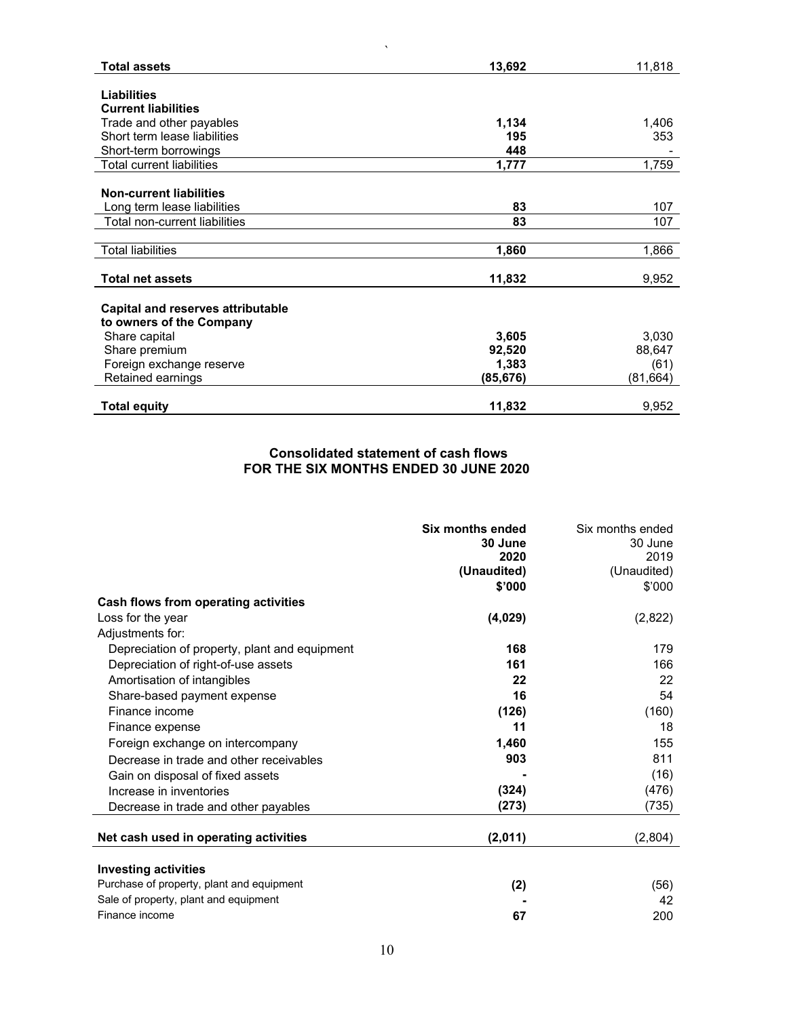| <b>Total assets</b>               | 13,692    | 11,818   |
|-----------------------------------|-----------|----------|
|                                   |           |          |
| <b>Liabilities</b>                |           |          |
| <b>Current liabilities</b>        |           |          |
| Trade and other payables          | 1,134     | 1,406    |
| Short term lease liabilities      | 195       | 353      |
| Short-term borrowings             | 448       |          |
| Total current liabilities         | 1,777     | 1,759    |
|                                   |           |          |
| <b>Non-current liabilities</b>    |           |          |
| Long term lease liabilities       | 83        | 107      |
| Total non-current liabilities     | 83        | 107      |
|                                   |           |          |
| <b>Total liabilities</b>          | 1,860     | 1,866    |
|                                   |           |          |
| <b>Total net assets</b>           | 11,832    | 9,952    |
|                                   |           |          |
| Capital and reserves attributable |           |          |
| to owners of the Company          |           |          |
| Share capital                     | 3,605     | 3,030    |
| Share premium                     | 92,520    | 88,647   |
| Foreign exchange reserve          | 1,383     | (61)     |
| Retained earnings                 | (85, 676) | (81,664) |
|                                   |           |          |
| <b>Total equity</b>               | 11,832    | 9,952    |

 $\hat{\mathbf{v}}$ 

# **Consolidated statement of cash flows FOR THE SIX MONTHS ENDED 30 JUNE 2020**

|                                               | Six months ended<br>30 June | Six months ended<br>30 June |
|-----------------------------------------------|-----------------------------|-----------------------------|
|                                               | 2020                        | 2019                        |
|                                               | (Unaudited)                 | (Unaudited)                 |
|                                               | \$'000                      | \$'000                      |
| Cash flows from operating activities          |                             |                             |
| Loss for the year                             | (4,029)                     | (2,822)                     |
| Adjustments for:                              |                             |                             |
| Depreciation of property, plant and equipment | 168                         | 179                         |
| Depreciation of right-of-use assets           | 161                         | 166                         |
| Amortisation of intangibles                   | 22                          | 22                          |
| Share-based payment expense                   | 16                          | 54                          |
| Finance income                                | (126)                       | (160)                       |
| Finance expense                               | 11                          | 18                          |
| Foreign exchange on intercompany              | 1.460                       | 155                         |
| Decrease in trade and other receivables       | 903                         | 811                         |
| Gain on disposal of fixed assets              |                             | (16)                        |
| Increase in inventories                       | (324)                       | (476)                       |
| Decrease in trade and other payables          | (273)                       | (735)                       |
| Net cash used in operating activities         | (2,011)                     | (2,804)                     |
| <b>Investing activities</b>                   |                             |                             |
| Purchase of property, plant and equipment     | (2)                         | (56)                        |
| Sale of property, plant and equipment         |                             | 42                          |
| Finance income                                | 67                          | 200                         |
|                                               |                             |                             |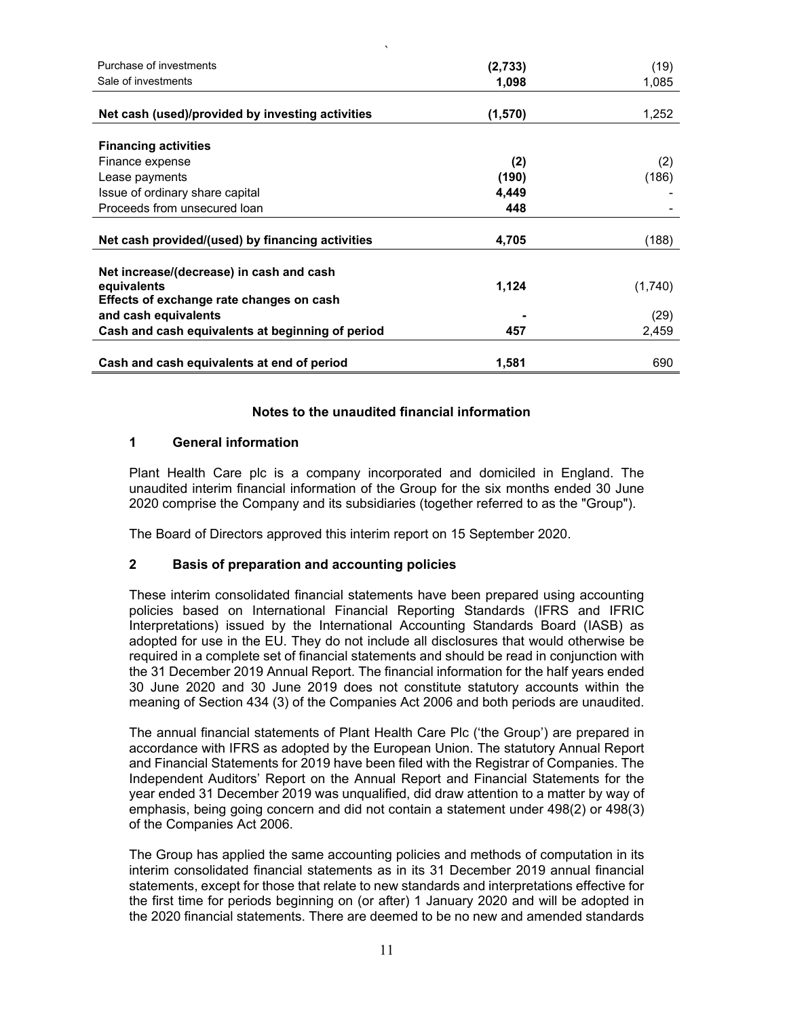| $\cdot$                                          |         |         |
|--------------------------------------------------|---------|---------|
| Purchase of investments                          | (2,733) | (19)    |
| Sale of investments                              | 1,098   | 1,085   |
|                                                  |         |         |
| Net cash (used)/provided by investing activities | (1,570) | 1,252   |
|                                                  |         |         |
| <b>Financing activities</b>                      |         |         |
| Finance expense                                  | (2)     | (2)     |
| Lease payments                                   | (190)   | (186)   |
| Issue of ordinary share capital                  | 4,449   |         |
| Proceeds from unsecured loan                     | 448     |         |
|                                                  |         |         |
| Net cash provided/(used) by financing activities | 4,705   | (188)   |
|                                                  |         |         |
| Net increase/(decrease) in cash and cash         |         |         |
| equivalents                                      | 1,124   | (1,740) |
| Effects of exchange rate changes on cash         |         |         |
| and cash equivalents                             |         | (29)    |
| Cash and cash equivalents at beginning of period | 457     | 2,459   |
|                                                  |         |         |
| Cash and cash equivalents at end of period       | 1,581   | 690     |

## **Notes to the unaudited financial information**

## **1 General information**

Plant Health Care plc is a company incorporated and domiciled in England. The unaudited interim financial information of the Group for the six months ended 30 June 2020 comprise the Company and its subsidiaries (together referred to as the "Group").

The Board of Directors approved this interim report on 15 September 2020.

## **2 Basis of preparation and accounting policies**

These interim consolidated financial statements have been prepared using accounting policies based on International Financial Reporting Standards (IFRS and IFRIC Interpretations) issued by the International Accounting Standards Board (IASB) as adopted for use in the EU. They do not include all disclosures that would otherwise be required in a complete set of financial statements and should be read in conjunction with the 31 December 2019 Annual Report. The financial information for the half years ended 30 June 2020 and 30 June 2019 does not constitute statutory accounts within the meaning of Section 434 (3) of the Companies Act 2006 and both periods are unaudited.

The annual financial statements of Plant Health Care Plc ('the Group') are prepared in accordance with IFRS as adopted by the European Union. The statutory Annual Report and Financial Statements for 2019 have been filed with the Registrar of Companies. The Independent Auditors' Report on the Annual Report and Financial Statements for the year ended 31 December 2019 was unqualified, did draw attention to a matter by way of emphasis, being going concern and did not contain a statement under 498(2) or 498(3) of the Companies Act 2006.

The Group has applied the same accounting policies and methods of computation in its interim consolidated financial statements as in its 31 December 2019 annual financial statements, except for those that relate to new standards and interpretations effective for the first time for periods beginning on (or after) 1 January 2020 and will be adopted in the 2020 financial statements. There are deemed to be no new and amended standards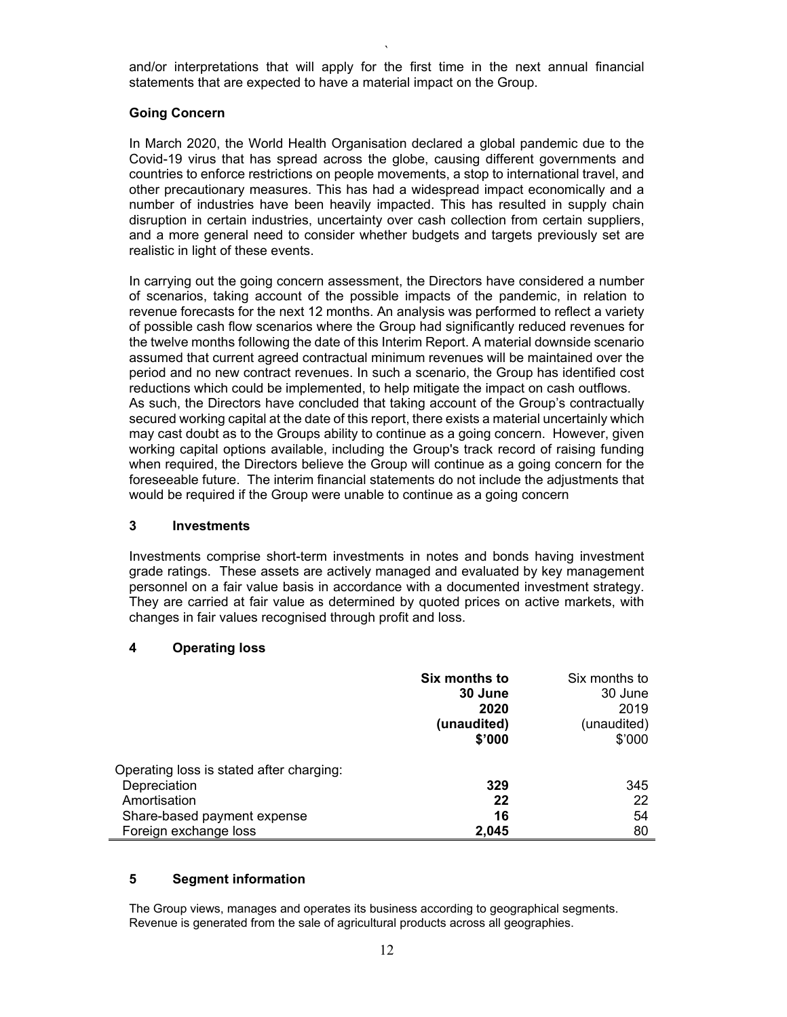` and/or interpretations that will apply for the first time in the next annual financial statements that are expected to have a material impact on the Group.

## **Going Concern**

In March 2020, the World Health Organisation declared a global pandemic due to the Covid-19 virus that has spread across the globe, causing different governments and countries to enforce restrictions on people movements, a stop to international travel, and other precautionary measures. This has had a widespread impact economically and a number of industries have been heavily impacted. This has resulted in supply chain disruption in certain industries, uncertainty over cash collection from certain suppliers, and a more general need to consider whether budgets and targets previously set are realistic in light of these events.

In carrying out the going concern assessment, the Directors have considered a number of scenarios, taking account of the possible impacts of the pandemic, in relation to revenue forecasts for the next 12 months. An analysis was performed to reflect a variety of possible cash flow scenarios where the Group had significantly reduced revenues for the twelve months following the date of this Interim Report. A material downside scenario assumed that current agreed contractual minimum revenues will be maintained over the period and no new contract revenues. In such a scenario, the Group has identified cost reductions which could be implemented, to help mitigate the impact on cash outflows. As such, the Directors have concluded that taking account of the Group's contractually secured working capital at the date of this report, there exists a material uncertainly which may cast doubt as to the Groups ability to continue as a going concern. However, given working capital options available, including the Group's track record of raising funding when required, the Directors believe the Group will continue as a going concern for the foreseeable future. The interim financial statements do not include the adjustments that would be required if the Group were unable to continue as a going concern

## **3 Investments**

Investments comprise short-term investments in notes and bonds having investment grade ratings. These assets are actively managed and evaluated by key management personnel on a fair value basis in accordance with a documented investment strategy. They are carried at fair value as determined by quoted prices on active markets, with changes in fair values recognised through profit and loss.

## **4 Operating loss**

|                                          | Six months to | Six months to |
|------------------------------------------|---------------|---------------|
|                                          | 30 June       | 30 June       |
|                                          | 2020          | 2019          |
|                                          | (unaudited)   | (unaudited)   |
|                                          | \$'000        | \$'000        |
| Operating loss is stated after charging: |               |               |
| Depreciation                             | 329           | 345           |
| Amortisation                             | 22            | 22            |
| Share-based payment expense              | 16            | 54            |
| Foreign exchange loss                    | 2,045         | 80            |

## **5 Segment information**

The Group views, manages and operates its business according to geographical segments. Revenue is generated from the sale of agricultural products across all geographies.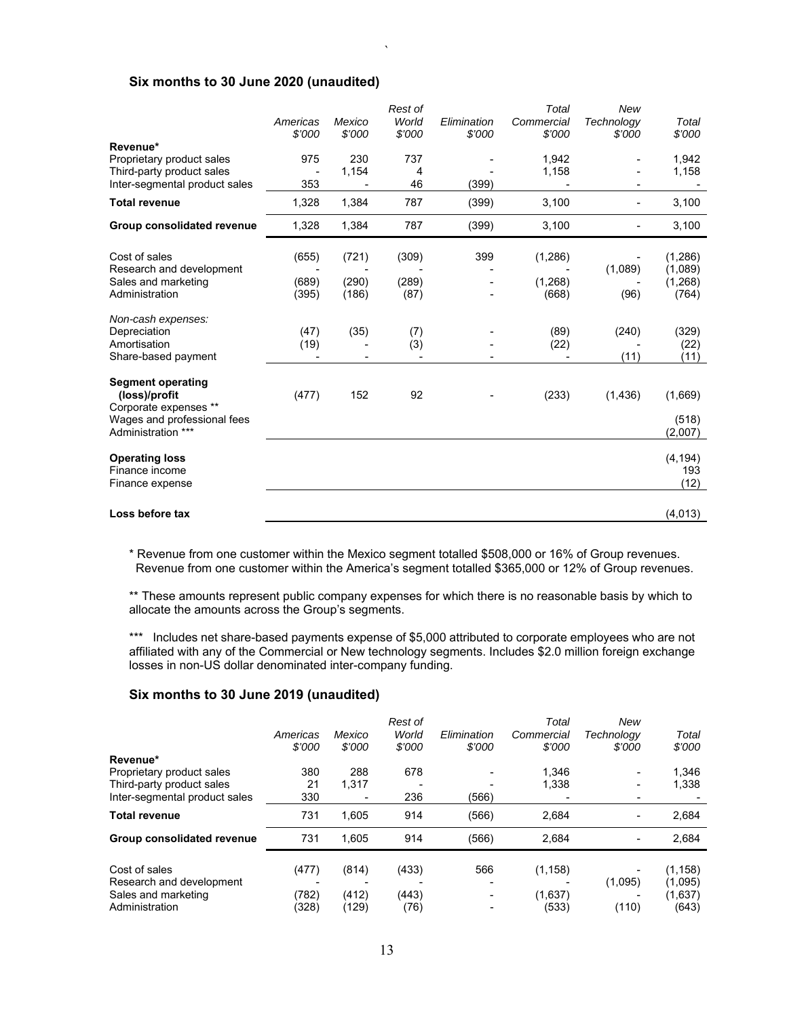## **Six months to 30 June 2020 (unaudited)**

|                                                                                                                         | Americas<br>\$'000      | Mexico<br>\$'000        | Rest of<br>World<br>\$'000 | Elimination<br>\$'000 | Total<br>Commercial<br>\$'000 | New<br>Technology<br>\$'000 | Total<br>\$'000                          |
|-------------------------------------------------------------------------------------------------------------------------|-------------------------|-------------------------|----------------------------|-----------------------|-------------------------------|-----------------------------|------------------------------------------|
| Revenue*<br>Proprietary product sales<br>Third-party product sales                                                      | 975                     | 230<br>1,154            | 737<br>4                   |                       | 1,942<br>1,158                |                             | 1,942<br>1,158                           |
| Inter-segmental product sales                                                                                           | 353                     |                         | 46                         | (399)                 |                               |                             |                                          |
| <b>Total revenue</b>                                                                                                    | 1,328                   | 1,384                   | 787                        | (399)                 | 3,100                         |                             | 3,100                                    |
| Group consolidated revenue                                                                                              | 1,328                   | 1,384                   | 787                        | (399)                 | 3,100                         |                             | 3,100                                    |
| Cost of sales<br>Research and development<br>Sales and marketing<br>Administration                                      | (655)<br>(689)<br>(395) | (721)<br>(290)<br>(186) | (309)<br>(289)<br>(87)     | 399                   | (1, 286)<br>(1,268)<br>(668)  | (1,089)<br>(96)             | (1, 286)<br>(1,089)<br>(1, 268)<br>(764) |
| Non-cash expenses:<br>Depreciation<br>Amortisation<br>Share-based payment                                               | (47)<br>(19)            | (35)                    | (7)<br>(3)                 |                       | (89)<br>(22)                  | (240)<br>(11)               | (329)<br>(22)<br>(11)                    |
| <b>Segment operating</b><br>(loss)/profit<br>Corporate expenses **<br>Wages and professional fees<br>Administration *** | (477)                   | 152                     | 92                         |                       | (233)                         | (1, 436)                    | (1,669)<br>(518)<br>(2,007)              |
| <b>Operating loss</b><br>Finance income<br>Finance expense                                                              |                         |                         |                            |                       |                               |                             | (4, 194)<br>193<br>(12)                  |
| Loss before tax                                                                                                         |                         |                         |                            |                       |                               |                             | (4.013)                                  |

`

\* Revenue from one customer within the Mexico segment totalled \$508,000 or 16% of Group revenues. Revenue from one customer within the America's segment totalled \$365,000 or 12% of Group revenues.

\*\* These amounts represent public company expenses for which there is no reasonable basis by which to allocate the amounts across the Group's segments.

\*\*\* Includes net share-based payments expense of \$5,000 attributed to corporate employees who are not affiliated with any of the Commercial or New technology segments. Includes \$2.0 million foreign exchange losses in non-US dollar denominated inter-company funding.

## **Six months to 30 June 2019 (unaudited)**

|                               | Americas<br>\$'000 | Mexico<br>\$'000 | Rest of<br>World<br>\$'000 | Elimination<br>\$'000 | Total<br>Commercial<br>\$'000 | New<br>Technology<br>\$'000 | Total<br>\$'000 |
|-------------------------------|--------------------|------------------|----------------------------|-----------------------|-------------------------------|-----------------------------|-----------------|
| Revenue*                      |                    |                  |                            |                       |                               |                             |                 |
| Proprietary product sales     | 380                | 288              | 678                        |                       | 1.346                         | ٠                           | 1.346           |
| Third-party product sales     | 21                 | 1.317            |                            |                       | 1,338                         |                             | 1,338           |
| Inter-segmental product sales | 330                |                  | 236                        | (566)                 |                               | ۰                           |                 |
| <b>Total revenue</b>          | 731                | 1.605            | 914                        | (566)                 | 2.684                         | ۰                           | 2.684           |
| Group consolidated revenue    | 731                | 1.605            | 914                        | (566)                 | 2,684                         |                             | 2,684           |
| Cost of sales                 | (477)              | (814)            | (433)                      | 566                   | (1, 158)                      |                             | (1.158)         |
| Research and development      |                    |                  |                            |                       |                               | (1,095)                     | (1,095)         |
| Sales and marketing           | (782)              | (412)            | (443)                      |                       | (1,637)                       |                             | (1,637)         |
| Administration                | (328)              | (129)            | (76)                       |                       | (533)                         | (110)                       | (643)           |